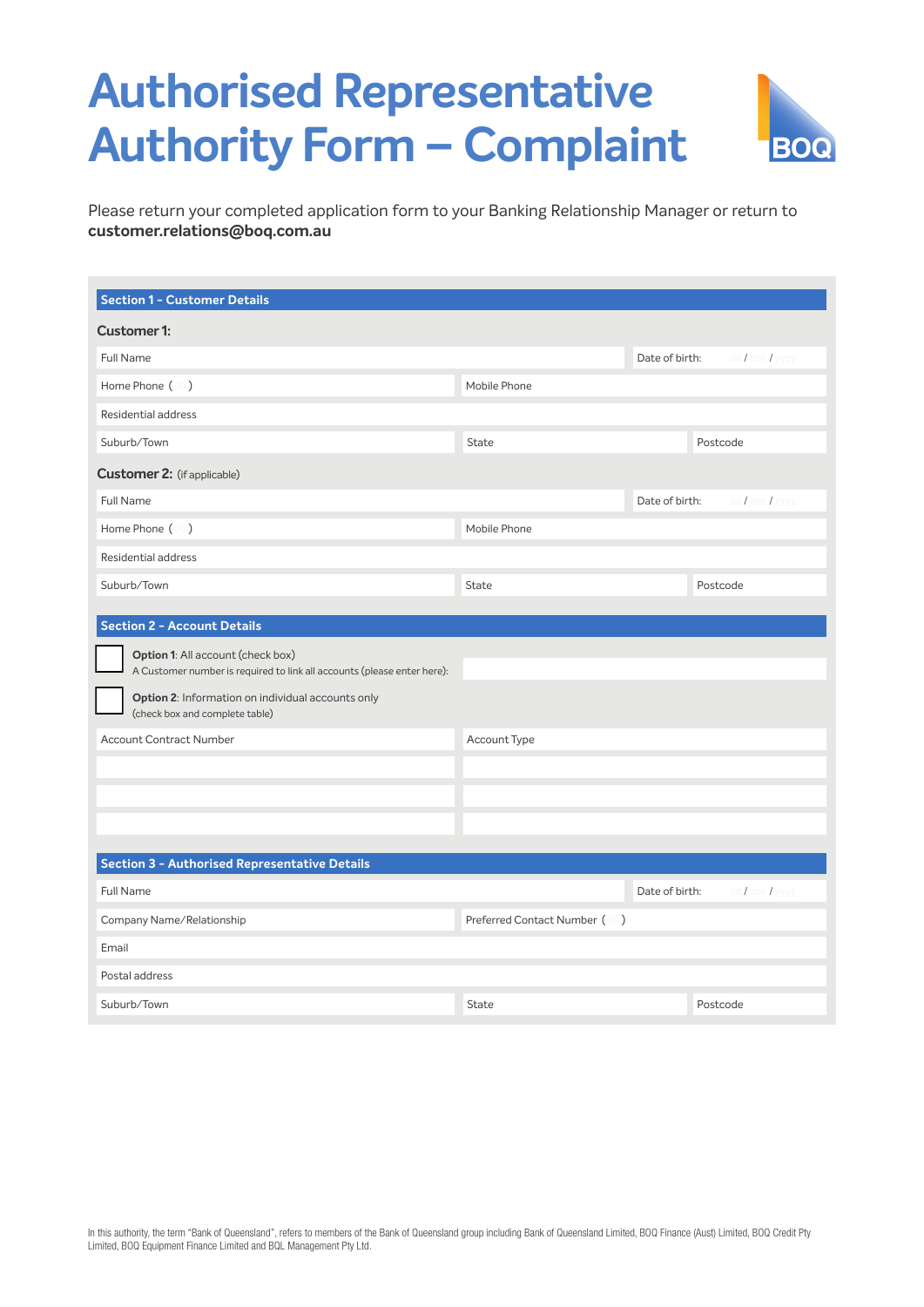## **Authorised Representative Authority Form – Complaint**



**BOQ** 

| <b>Section 1 - Customer Details</b>                                                                                                                                                                                                          |                               |                |                               |
|----------------------------------------------------------------------------------------------------------------------------------------------------------------------------------------------------------------------------------------------|-------------------------------|----------------|-------------------------------|
| <b>Customer 1:</b>                                                                                                                                                                                                                           |                               |                |                               |
| Full Name                                                                                                                                                                                                                                    |                               | Date of birth: | dd / mm / yyyy                |
| Home Phone (00)                                                                                                                                                                                                                              | Mobile Phone                  |                |                               |
| <b>Residential address</b>                                                                                                                                                                                                                   |                               |                |                               |
| Suburb/Town                                                                                                                                                                                                                                  | State                         |                | Postcode                      |
| <b>Customer 2:</b> (if applicable)                                                                                                                                                                                                           |                               |                |                               |
| Full Name                                                                                                                                                                                                                                    |                               | Date of birth: | $dd / \text{mm} / \text{yy}$  |
| Home Phone (00)                                                                                                                                                                                                                              | Mobile Phone                  |                |                               |
| <b>Residential address</b>                                                                                                                                                                                                                   |                               |                |                               |
| Suburb/Town                                                                                                                                                                                                                                  | <b>State</b>                  |                | Postcode                      |
| <b>Option 1:</b> All account (check box)<br>A Customer number is required to link all accounts (please enter here):<br>Option 2: Information on individual accounts only<br>(check box and complete table)<br><b>Account Contract Number</b> | Account Type                  |                |                               |
| <b>Section 3 - Authorised Representative Details</b>                                                                                                                                                                                         |                               |                |                               |
| <b>Full Name</b>                                                                                                                                                                                                                             |                               | Date of birth: | $dd / \text{mm} / \text{yyy}$ |
| Company Name/Relationship                                                                                                                                                                                                                    | Preferred Contact Number (00) |                |                               |
| Email                                                                                                                                                                                                                                        |                               |                |                               |
| Postal address                                                                                                                                                                                                                               |                               |                |                               |
| Suburb/Town                                                                                                                                                                                                                                  | State                         |                | Postcode                      |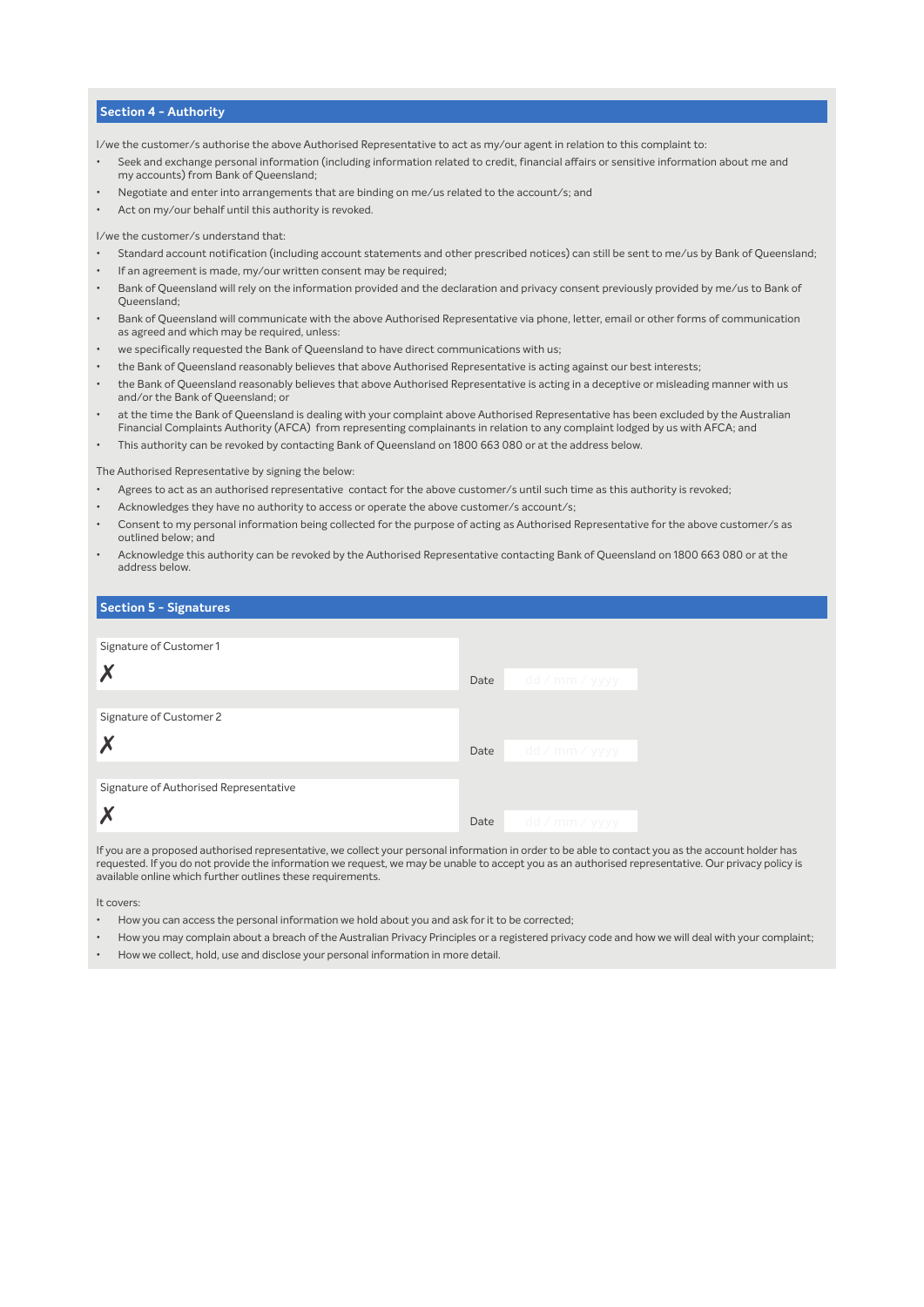## **Section 4 - Authority**

I/we the customer/s authorise the above Authorised Representative to act as my/our agent in relation to this complaint to:

- Seek and exchange personal information (including information related to credit, financial affairs or sensitive information about me and my accounts) from Bank of Queensland;
- Negotiate and enter into arrangements that are binding on me/us related to the account/s; and
- Act on my/our behalf until this authority is revoked.

I/we the customer/s understand that:

- Standard account notification (including account statements and other prescribed notices) can still be sent to me/us by Bank of Queensland;
- If an agreement is made, my/our written consent may be required;
- Bank of Queensland will rely on the information provided and the declaration and privacy consent previously provided by me/us to Bank of Queensland;
- Bank of Queensland will communicate with the above Authorised Representative via phone, letter, email or other forms of communication as agreed and which may be required, unless:
- we specifically requested the Bank of Queensland to have direct communications with us;
- the Bank of Queensland reasonably believes that above Authorised Representative is acting against our best interests;
- the Bank of Queensland reasonably believes that above Authorised Representative is acting in a deceptive or misleading manner with us and/or the Bank of Queensland; or
- at the time the Bank of Queensland is dealing with your complaint above Authorised Representative has been excluded by the Australian Financial Complaints Authority (AFCA) from representing complainants in relation to any complaint lodged by us with AFCA; and
- This authority can be revoked by contacting Bank of Queensland on 1800 663 080 or at the address below.

The Authorised Representative by signing the below:

- Agrees to act as an authorised representative contact for the above customer/s until such time as this authority is revoked;
- Acknowledges they have no authority to access or operate the above customer/s account/s;
- Consent to my personal information being collected for the purpose of acting as Authorised Representative for the above customer/s as outlined below; and
- Acknowledge this authority can be revoked by the Authorised Representative contacting Bank of Queensland on 1800 663 080 or at the address below.

| <b>Section 5 - Signatures</b>          |      |                |
|----------------------------------------|------|----------------|
|                                        |      |                |
| Signature of Customer 1                |      |                |
| $\boldsymbol{X}$                       | Date | dd / mm / yyyy |
|                                        |      |                |
| Signature of Customer 2                |      |                |
| X                                      | Date | dd / mm / yyyy |
|                                        |      |                |
| Signature of Authorised Representative |      |                |
| X                                      | Date | dd / mm / yyyy |

If you are a proposed authorised representative, we collect your personal information in order to be able to contact you as the account holder has requested. If you do not provide the information we request, we may be unable to accept you as an authorised representative. Our privacy policy is available online which further outlines these requirements.

It covers:

- How you can access the personal information we hold about you and ask for it to be corrected;
- How you may complain about a breach of the Australian Privacy Principles or a registered privacy code and how we will deal with your complaint;
- How we collect, hold, use and disclose your personal information in more detail.